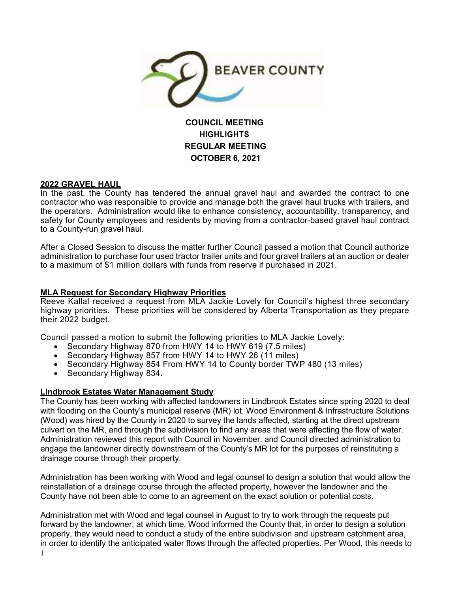

# **COUNCIL MEETING HIGHLIGHTS REGULAR MEETING OCTOBER 6, 2021**

## **2022 GRAVEL HAUL**

In the past, the County has tendered the annual gravel haul and awarded the contract to one contractor who was responsible to provide and manage both the gravel haul trucks with trailers, and the operators. Administration would like to enhance consistency, accountability, transparency, and safety for County employees and residents by moving from a contractor-based gravel haul contract to a County-run gravel haul.

After a Closed Session to discuss the matter further Council passed a motion that Council authorize administration to purchase four used tractor trailer units and four gravel trailers at an auction or dealer to a maximum of \$1 million dollars with funds from reserve if purchased in 2021.

## **MLA Request for Secondary Highway Priorities**

Reeve Kallal received a request from MLA Jackie Lovely for Council's highest three secondary highway priorities. These priorities will be considered by Alberta Transportation as they prepare their 2022 budget.

Council passed a motion to submit the following priorities to MLA Jackie Lovely:

- Secondary Highway 870 from HWY 14 to HWY 619 (7.5 miles)
- Secondary Highway 857 from HWY 14 to HWY 26 (11 miles)
- Secondary Highway 854 From HWY 14 to County border TWP 480 (13 miles)
- Secondary Highway 834.

#### **Lindbrook Estates Water Management Study**

The County has been working with affected landowners in Lindbrook Estates since spring 2020 to deal with flooding on the County's municipal reserve (MR) lot. Wood Environment & Infrastructure Solutions (Wood) was hired by the County in 2020 to survey the lands affected, starting at the direct upstream culvert on the MR, and through the subdivision to find any areas that were affecting the flow of water. Administration reviewed this report with Council in November, and Council directed administration to engage the landowner directly downstream of the County's MR lot for the purposes of reinstituting a drainage course through their property.

Administration has been working with Wood and legal counsel to design a solution that would allow the reinstallation of a drainage course through the affected property, however the landowner and the County have not been able to come to an agreement on the exact solution or potential costs.

1 Administration met with Wood and legal counsel in August to try to work through the requests put forward by the landowner, at which time, Wood informed the County that, in order to design a solution properly, they would need to conduct a study of the entire subdivision and upstream catchment area, in order to identify the anticipated water flows through the affected properties. Per Wood, this needs to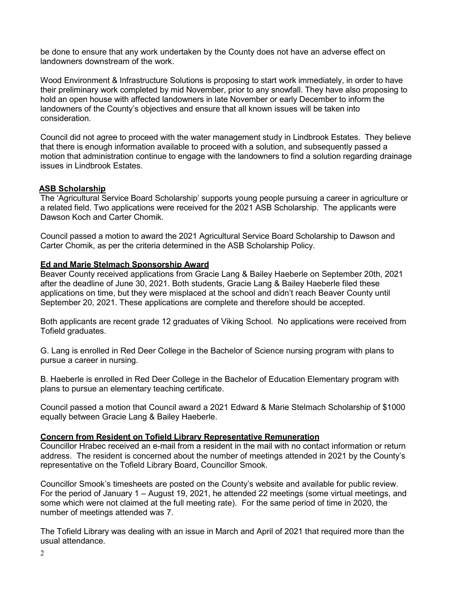be done to ensure that any work undertaken by the County does not have an adverse effect on landowners downstream of the work.

Wood Environment & Infrastructure Solutions is proposing to start work immediately, in order to have their preliminary work completed by mid November, prior to any snowfall. They have also proposing to hold an open house with affected landowners in late November or early December to inform the landowners of the County's objectives and ensure that all known issues will be taken into consideration.

Council did not agree to proceed with the water management study in Lindbrook Estates. They believe that there is enough information available to proceed with a solution, and subsequently passed a motion that administration continue to engage with the landowners to find a solution regarding drainage issues in Lindbrook Estates.

# **ASB Scholarship**

The 'Agricultural Service Board Scholarship' supports young people pursuing a career in agriculture or a related field. Two applications were received for the 2021 ASB Scholarship. The applicants were Dawson Koch and Carter Chomik.

Council passed a motion to award the 2021 Agricultural Service Board Scholarship to Dawson and Carter Chomik, as per the criteria determined in the ASB Scholarship Policy.

## **Ed and Marie Stelmach Sponsorship Award**

Beaver County received applications from Gracie Lang & Bailey Haeberle on September 20th, 2021 after the deadline of June 30, 2021. Both students, Gracie Lang & Bailey Haeberle filed these applications on time, but they were misplaced at the school and didn't reach Beaver County until September 20, 2021. These applications are complete and therefore should be accepted.

Both applicants are recent grade 12 graduates of Viking School. No applications were received from Tofield graduates.

G. Lang is enrolled in Red Deer College in the Bachelor of Science nursing program with plans to pursue a career in nursing.

B. Haeberle is enrolled in Red Deer College in the Bachelor of Education Elementary program with plans to pursue an elementary teaching certificate.

Council passed a motion that Council award a 2021 Edward & Marie Stelmach Scholarship of \$1000 equally between Gracie Lang & Bailey Haeberle.

# **Concern from Resident on Tofield Library Representative Remuneration**

Councillor Hrabec received an e-mail from a resident in the mail with no contact information or return address. The resident is concerned about the number of meetings attended in 2021 by the County's representative on the Tofield Library Board, Councillor Smook.

Councillor Smook's timesheets are posted on the County's website and available for public review. For the period of January 1 – August 19, 2021, he attended 22 meetings (some virtual meetings, and some which were not claimed at the full meeting rate). For the same period of time in 2020, the number of meetings attended was 7.

The Tofield Library was dealing with an issue in March and April of 2021 that required more than the usual attendance.